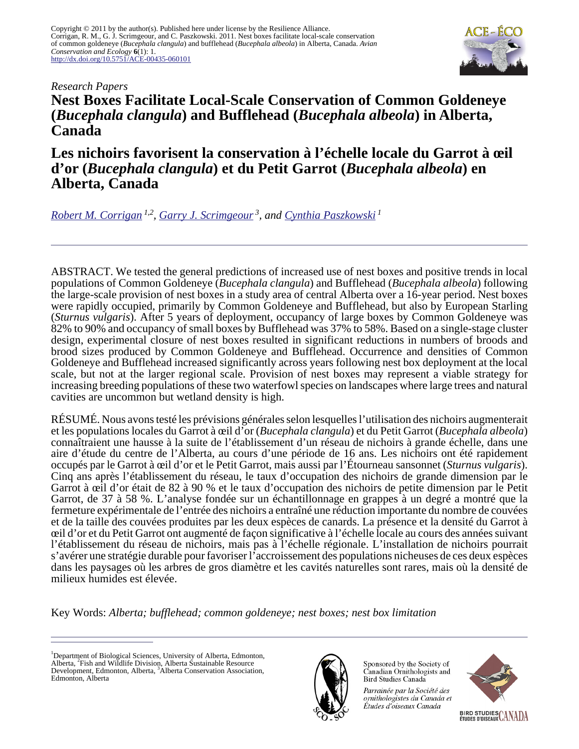

# *Research Papers* **Nest Boxes Facilitate Local-Scale Conservation of Common Goldeneye (***Bucephala clangula***) and Bufflehead (***Bucephala albeola***) in Alberta, Canada**

**Les nichoirs favorisent la conservation à l'échelle locale du Garrot à œil d'or (***Bucephala clangula***) et du Petit Garrot (***Bucephala albeola***) en Alberta, Canada**

*[Robert M. Corrigan](mailto:rob.corrigan@gov.ab.ca) 1,2 , [Garry J. Scrimgeour](mailto:garry.scrimgeour@pc.gc.ca)<sup>3</sup>, and [Cynthia Paszkowski](mailto:cindy.paszkowski@ualberta.ca)<sup>1</sup>*

ABSTRACT. We tested the general predictions of increased use of nest boxes and positive trends in local populations of Common Goldeneye (*Bucephala clangula*) and Bufflehead (*Bucephala albeola*) following the large-scale provision of nest boxes in a study area of central Alberta over a 16-year period. Nest boxes were rapidly occupied, primarily by Common Goldeneye and Bufflehead, but also by European Starling (*Sturnus vulgaris*). After 5 years of deployment, occupancy of large boxes by Common Goldeneye was 82% to 90% and occupancy of small boxes by Bufflehead was 37% to 58%. Based on a single-stage cluster design, experimental closure of nest boxes resulted in significant reductions in numbers of broods and brood sizes produced by Common Goldeneye and Bufflehead. Occurrence and densities of Common Goldeneye and Bufflehead increased significantly across years following nest box deployment at the local scale, but not at the larger regional scale. Provision of nest boxes may represent a viable strategy for increasing breeding populations of these two waterfowl species on landscapes where large trees and natural cavities are uncommon but wetland density is high.

RÉSUMÉ. Nous avons testé les prévisions générales selon lesquelles l'utilisation des nichoirs augmenterait et les populations locales du Garrot à œil d'or (*Bucephala clangula*) et du Petit Garrot (*Bucephala albeola*) connaîtraient une hausse à la suite de l'établissement d'un réseau de nichoirs à grande échelle, dans une aire d'étude du centre de l'Alberta, au cours d'une période de 16 ans. Les nichoirs ont été rapidement occupés par le Garrot à œil d'or et le Petit Garrot, mais aussi par l'Étourneau sansonnet (*Sturnus vulgaris*). Cinq ans après l'établissement du réseau, le taux d'occupation des nichoirs de grande dimension par le Garrot à œil d'or était de 82 à 90 % et le taux d'occupation des nichoirs de petite dimension par le Petit Garrot, de 37 à 58 %. L'analyse fondée sur un échantillonnage en grappes à un degré a montré que la fermeture expérimentale de l'entrée des nichoirs a entraîné une réduction importante du nombre de couvées et de la taille des couvées produites par les deux espèces de canards. La présence et la densité du Garrot à œil d'or et du Petit Garrot ont augmenté de façon significative à l'échelle locale au cours des années suivant l'établissement du réseau de nichoirs, mais pas à l'échelle régionale. L'installation de nichoirs pourrait s'avérer une stratégie durable pour favoriser l'accroissement des populations nicheuses de ces deux espèces dans les paysages où les arbres de gros diamètre et les cavités naturelles sont rares, mais où la densité de milieux humides est élevée.

Key Words: *Alberta; bufflehead; common goldeneye; nest boxes; nest box limitation* 

<sup>1</sup>Department of Biological Sciences, University of Alberta, Edmonton, Alberta, <sup>2</sup>Fish and Wildlife Division, Alberta Sustainable Resource Development, Edmonton, Alberta, <sup>3</sup>Alberta Conservation Association, Edmonton, Alberta



Sponsored by the Society of Canadian Ornithologists and Bird Studies Canada

Parrainée par la Société des ornithologistes du Canada et Études d'oiseaux Canada

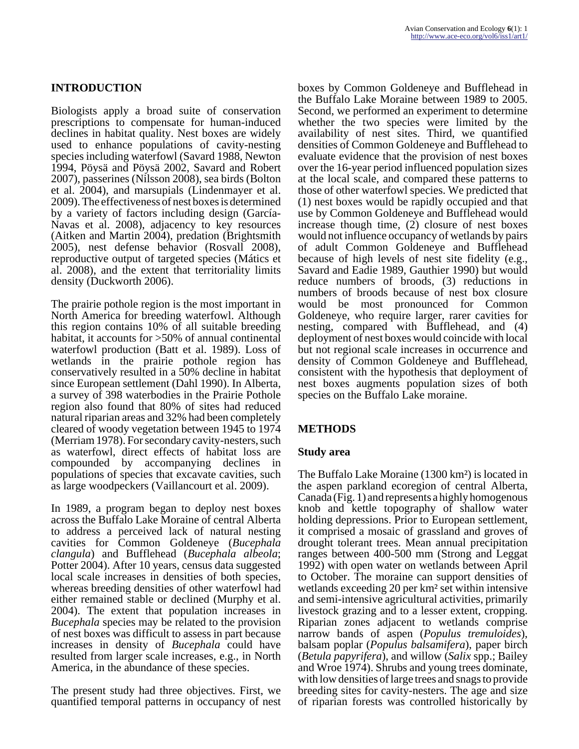# **INTRODUCTION**

Biologists apply a broad suite of conservation prescriptions to compensate for human-induced declines in habitat quality. Nest boxes are widely used to enhance populations of cavity-nesting species including waterfowl (Savard 1988, Newton 1994, Pöysä and Pöysä 2002, Savard and Robert 2007), passerines (Nilsson 2008), sea birds (Bolton et al. 2004), and marsupials (Lindenmayer et al. 2009). The effectiveness of nest boxes is determined by a variety of factors including design (García-Navas et al. 2008), adjacency to key resources (Aitken and Martin 2004), predation (Brightsmith 2005), nest defense behavior (Rosvall 2008), reproductive output of targeted species (Mátics et al. 2008), and the extent that territoriality limits density (Duckworth 2006).

The prairie pothole region is the most important in North America for breeding waterfowl. Although this region contains 10% of all suitable breeding habitat, it accounts for  $>50\%$  of annual continental waterfowl production (Batt et al. 1989). Loss of wetlands in the prairie pothole region has conservatively resulted in a 50% decline in habitat since European settlement (Dahl 1990). In Alberta, a survey of 398 waterbodies in the Prairie Pothole region also found that 80% of sites had reduced natural riparian areas and 32% had been completely cleared of woody vegetation between 1945 to 1974 (Merriam 1978). For secondary cavity-nesters, such as waterfowl, direct effects of habitat loss are compounded by accompanying declines in populations of species that excavate cavities, such as large woodpeckers (Vaillancourt et al. 2009).

In 1989, a program began to deploy nest boxes across the Buffalo Lake Moraine of central Alberta to address a perceived lack of natural nesting cavities for Common Goldeneye (*Bucephala clangula*) and Bufflehead (*Bucephala albeola*; Potter 2004). After 10 years, census data suggested local scale increases in densities of both species, whereas breeding densities of other waterfowl had either remained stable or declined (Murphy et al. 2004). The extent that population increases in *Bucephala* species may be related to the provision of nest boxes was difficult to assess in part because increases in density of *Bucephala* could have resulted from larger scale increases, e.g., in North America, in the abundance of these species.

The present study had three objectives. First, we quantified temporal patterns in occupancy of nest boxes by Common Goldeneye and Bufflehead in the Buffalo Lake Moraine between 1989 to 2005. Second, we performed an experiment to determine whether the two species were limited by the availability of nest sites. Third, we quantified densities of Common Goldeneye and Bufflehead to evaluate evidence that the provision of nest boxes over the 16-year period influenced population sizes at the local scale, and compared these patterns to those of other waterfowl species. We predicted that (1) nest boxes would be rapidly occupied and that use by Common Goldeneye and Bufflehead would increase though time, (2) closure of nest boxes would not influence occupancy of wetlands by pairs of adult Common Goldeneye and Bufflehead because of high levels of nest site fidelity (e.g., Savard and Eadie 1989, Gauthier 1990) but would reduce numbers of broods, (3) reductions in numbers of broods because of nest box closure would be most pronounced for Common Goldeneye, who require larger, rarer cavities for nesting, compared with Bufflehead, and (4) deployment of nest boxes would coincide with local but not regional scale increases in occurrence and density of Common Goldeneye and Bufflehead, consistent with the hypothesis that deployment of nest boxes augments population sizes of both species on the Buffalo Lake moraine.

# **METHODS**

#### **Study area**

The Buffalo Lake Moraine (1300 km²) is located in the aspen parkland ecoregion of central Alberta, Canada (Fig. 1) and represents a highly homogenous knob and kettle topography of shallow water holding depressions. Prior to European settlement, it comprised a mosaic of grassland and groves of drought tolerant trees. Mean annual precipitation ranges between 400-500 mm (Strong and Leggat 1992) with open water on wetlands between April to October. The moraine can support densities of wetlands exceeding 20 per km² set within intensive and semi-intensive agricultural activities, primarily livestock grazing and to a lesser extent, cropping. Riparian zones adjacent to wetlands comprise narrow bands of aspen (*Populus tremuloides*), balsam poplar (*Populus balsamifera*), paper birch (*Betula papyrifera*), and willow (*Salix* spp.; Bailey and Wroe 1974). Shrubs and young trees dominate, with low densities of large trees and snags to provide breeding sites for cavity-nesters. The age and size of riparian forests was controlled historically by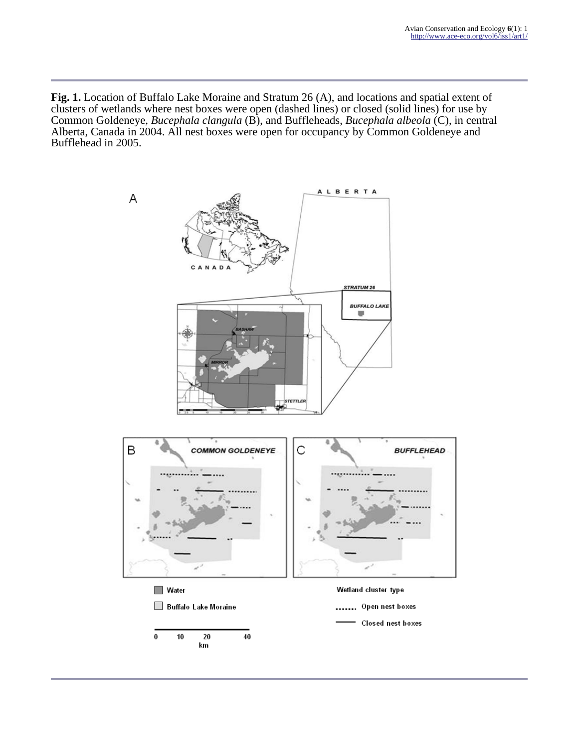**Fig. 1.** Location of Buffalo Lake Moraine and Stratum 26 (A), and locations and spatial extent of clusters of wetlands where nest boxes were open (dashed lines) or closed (solid lines) for use by Common Goldeneye, *Bucephala clangula* (B), and Buffleheads, *Bucephala albeola* (C), in central Alberta, Canada in 2004. All nest boxes were open for occupancy by Common Goldeneye and Bufflehead in 2005.

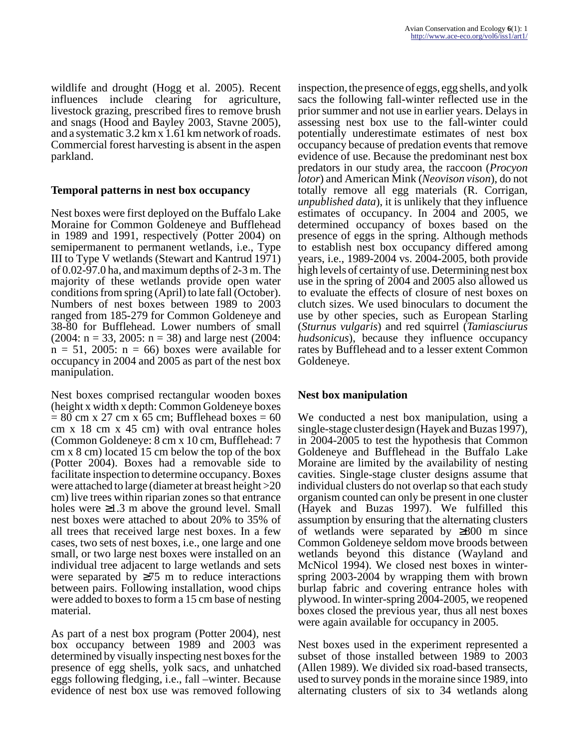wildlife and drought (Hogg et al. 2005). Recent influences include clearing for agriculture, livestock grazing, prescribed fires to remove brush and snags (Hood and Bayley 2003, Stavne 2005), and a systematic 3.2 km x 1.61 km network of roads. Commercial forest harvesting is absent in the aspen parkland.

#### **Temporal patterns in nest box occupancy**

Nest boxes were first deployed on the Buffalo Lake Moraine for Common Goldeneye and Bufflehead in 1989 and 1991, respectively (Potter 2004) on semipermanent to permanent wetlands, i.e., Type III to Type V wetlands (Stewart and Kantrud 1971) of 0.02-97.0 ha, and maximum depths of 2-3 m. The majority of these wetlands provide open water conditions from spring (April) to late fall (October). Numbers of nest boxes between 1989 to 2003 ranged from 185-279 for Common Goldeneye and 38-80 for Bufflehead. Lower numbers of small  $(2004: n = 33, 2005: n = 38)$  and large nest  $(2004: n = 33, 2005: n = 38)$  $n = 51$ , 2005:  $n = 66$ ) boxes were available for occupancy in 2004 and 2005 as part of the nest box manipulation.

Nest boxes comprised rectangular wooden boxes (height x width x depth: Common Goldeneye boxes  $= 80$  cm x 27 cm x 65 cm; Bufflehead boxes  $= 60$ cm x 18 cm x 45 cm) with oval entrance holes (Common Goldeneye: 8 cm x 10 cm, Bufflehead: 7 cm x 8 cm) located 15 cm below the top of the box (Potter 2004). Boxes had a removable side to facilitate inspection to determine occupancy. Boxes were attached to large (diameter at breast height >20 cm) live trees within riparian zones so that entrance holes were  $\geq 1.3$  m above the ground level. Small nest boxes were attached to about 20% to 35% of all trees that received large nest boxes. In a few cases, two sets of nest boxes, i.e., one large and one small, or two large nest boxes were installed on an individual tree adjacent to large wetlands and sets were separated by  $\geq 75$  m to reduce interactions between pairs. Following installation, wood chips were added to boxes to form a 15 cm base of nesting material.

As part of a nest box program (Potter 2004), nest box occupancy between 1989 and 2003 was determined by visually inspecting nest boxes for the presence of egg shells, yolk sacs, and unhatched eggs following fledging, i.e., fall –winter. Because evidence of nest box use was removed following inspection, the presence of eggs, egg shells, and yolk sacs the following fall-winter reflected use in the prior summer and not use in earlier years. Delays in assessing nest box use to the fall-winter could potentially underestimate estimates of nest box occupancy because of predation events that remove evidence of use. Because the predominant nest box predators in our study area, the raccoon (*Procyon lotor*) and American Mink (*Neovison vison*), do not totally remove all egg materials (R. Corrigan, *unpublished data*), it is unlikely that they influence estimates of occupancy. In 2004 and 2005, we determined occupancy of boxes based on the presence of eggs in the spring. Although methods to establish nest box occupancy differed among years, i.e., 1989-2004 vs. 2004-2005, both provide high levels of certainty of use. Determining nest box use in the spring of 2004 and 2005 also allowed us to evaluate the effects of closure of nest boxes on clutch sizes. We used binoculars to document the use by other species, such as European Starling (*Sturnus vulgaris*) and red squirrel (*Tamiasciurus hudsonicus*), because they influence occupancy rates by Bufflehead and to a lesser extent Common Goldeneye.

# **Nest box manipulation**

We conducted a nest box manipulation, using a single-stage cluster design (Hayek and Buzas 1997), in 2004-2005 to test the hypothesis that Common Goldeneye and Bufflehead in the Buffalo Lake Moraine are limited by the availability of nesting cavities. Single-stage cluster designs assume that individual clusters do not overlap so that each study organism counted can only be present in one cluster (Hayek and Buzas 1997). We fulfilled this assumption by ensuring that the alternating clusters of wetlands were separated by ≥800 m since Common Goldeneye seldom move broods between wetlands beyond this distance (Wayland and McNicol 1994). We closed nest boxes in winterspring 2003-2004 by wrapping them with brown burlap fabric and covering entrance holes with plywood. In winter-spring 2004-2005, we reopened boxes closed the previous year, thus all nest boxes were again available for occupancy in 2005.

Nest boxes used in the experiment represented a subset of those installed between 1989 to 2003 (Allen 1989). We divided six road-based transects, used to survey ponds in the moraine since 1989, into alternating clusters of six to 34 wetlands along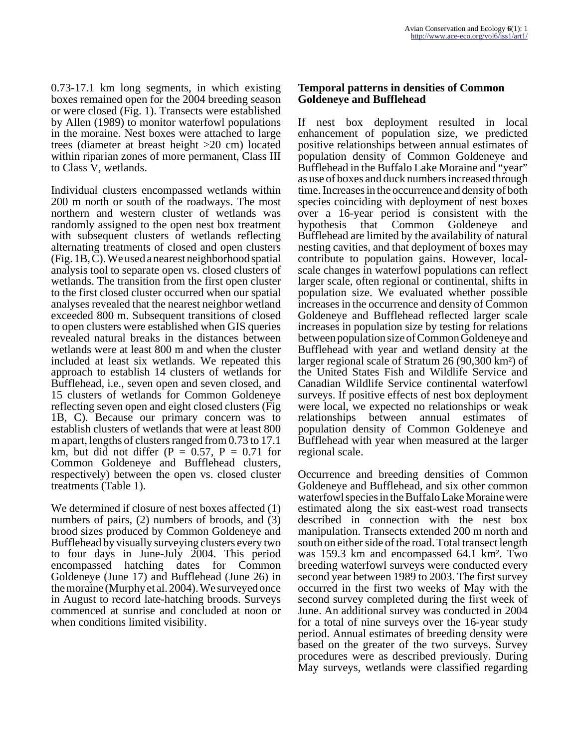0.73-17.1 km long segments, in which existing boxes remained open for the 2004 breeding season or were closed (Fig. 1). Transects were established by Allen (1989) to monitor waterfowl populations in the moraine. Nest boxes were attached to large trees (diameter at breast height >20 cm) located within riparian zones of more permanent, Class III to Class V, wetlands.

Individual clusters encompassed wetlands within 200 m north or south of the roadways. The most northern and western cluster of wetlands was randomly assigned to the open nest box treatment with subsequent clusters of wetlands reflecting alternating treatments of closed and open clusters (Fig. 1B, C). We used a nearest neighborhood spatial analysis tool to separate open vs. closed clusters of wetlands. The transition from the first open cluster to the first closed cluster occurred when our spatial analyses revealed that the nearest neighbor wetland exceeded 800 m. Subsequent transitions of closed to open clusters were established when GIS queries revealed natural breaks in the distances between wetlands were at least 800 m and when the cluster included at least six wetlands. We repeated this approach to establish 14 clusters of wetlands for Bufflehead, i.e., seven open and seven closed, and 15 clusters of wetlands for Common Goldeneye reflecting seven open and eight closed clusters (Fig 1B, C). Because our primary concern was to establish clusters of wetlands that were at least 800 m apart, lengths of clusters ranged from 0.73 to 17.1 km, but did not differ ( $P = 0.57$ ,  $P = 0.71$  for Common Goldeneye and Bufflehead clusters, respectively) between the open vs. closed cluster treatments (Table 1).

We determined if closure of nest boxes affected (1) numbers of pairs, (2) numbers of broods, and (3) brood sizes produced by Common Goldeneye and Bufflehead by visually surveying clusters every two to four days in June-July 2004. This period encompassed hatching dates for Common Goldeneye (June 17) and Bufflehead (June 26) in the moraine (Murphy et al. 2004). We surveyed once in August to record late-hatching broods. Surveys commenced at sunrise and concluded at noon or when conditions limited visibility.

# **Temporal patterns in densities of Common Goldeneye and Bufflehead**

If nest box deployment resulted in local enhancement of population size, we predicted positive relationships between annual estimates of population density of Common Goldeneye and Bufflehead in the Buffalo Lake Moraine and "year" as use of boxes and duck numbers increased through time. Increases in the occurrence and density of both species coinciding with deployment of nest boxes over a 16-year period is consistent with the hypothesis that Common Goldeneye and Bufflehead are limited by the availability of natural nesting cavities, and that deployment of boxes may contribute to population gains. However, localscale changes in waterfowl populations can reflect larger scale, often regional or continental, shifts in population size. We evaluated whether possible increases in the occurrence and density of Common Goldeneye and Bufflehead reflected larger scale increases in population size by testing for relations between population size of Common Goldeneye and Bufflehead with year and wetland density at the larger regional scale of Stratum 26 (90,300 km²) of the United States Fish and Wildlife Service and Canadian Wildlife Service continental waterfowl surveys. If positive effects of nest box deployment were local, we expected no relationships or weak relationships between annual estimates of population density of Common Goldeneye and Bufflehead with year when measured at the larger regional scale.

Occurrence and breeding densities of Common Goldeneye and Bufflehead, and six other common waterfowl species in the Buffalo Lake Moraine were estimated along the six east-west road transects described in connection with the nest box manipulation. Transects extended 200 m north and south on either side of the road. Total transect length was 159.3 km and encompassed 64.1 km². Two breeding waterfowl surveys were conducted every second year between 1989 to 2003. The first survey occurred in the first two weeks of May with the second survey completed during the first week of June. An additional survey was conducted in 2004 for a total of nine surveys over the 16-year study period. Annual estimates of breeding density were based on the greater of the two surveys. Survey procedures were as described previously. During May surveys, wetlands were classified regarding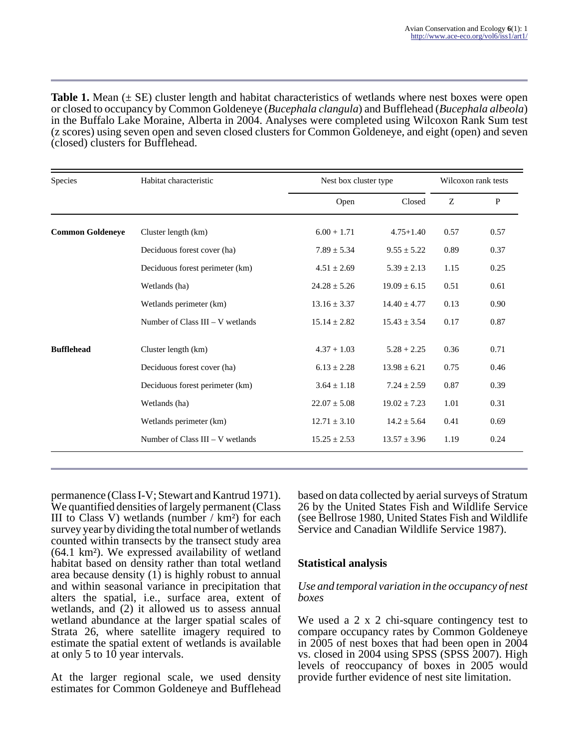**Table 1.** Mean  $(\pm SE)$  cluster length and habitat characteristics of wetlands where nest boxes were open or closed to occupancy by Common Goldeneye (*Bucephala clangula*) and Bufflehead (*Bucephala albeola*) in the Buffalo Lake Moraine, Alberta in 2004. Analyses were completed using Wilcoxon Rank Sum test (z scores) using seven open and seven closed clusters for Common Goldeneye, and eight (open) and seven (closed) clusters for Bufflehead.

| Species                 | Habitat characteristic             | Nest box cluster type | Wilcoxon rank tests |      |      |
|-------------------------|------------------------------------|-----------------------|---------------------|------|------|
|                         |                                    | Open                  | Closed              | Z    | P    |
| <b>Common Goldeneye</b> | Cluster length (km)                | $6.00 + 1.71$         | $4.75 + 1.40$       | 0.57 | 0.57 |
|                         | Deciduous forest cover (ha)        | $7.89 \pm 5.34$       | $9.55 \pm 5.22$     | 0.89 | 0.37 |
|                         | Deciduous forest perimeter (km)    | $4.51 \pm 2.69$       | $5.39 \pm 2.13$     | 1.15 | 0.25 |
|                         | Wetlands (ha)                      | $24.28 \pm 5.26$      | $19.09 \pm 6.15$    | 0.51 | 0.61 |
|                         | Wetlands perimeter (km)            | $13.16 \pm 3.37$      | $14.40 \pm 4.77$    | 0.13 | 0.90 |
|                         | Number of Class $III - V$ wetlands | $15.14 \pm 2.82$      | $15.43 \pm 3.54$    | 0.17 | 0.87 |
| <b>Bufflehead</b>       | Cluster length (km)                | $4.37 + 1.03$         | $5.28 + 2.25$       | 0.36 | 0.71 |
|                         | Deciduous forest cover (ha)        | $6.13 \pm 2.28$       | $13.98 \pm 6.21$    | 0.75 | 0.46 |
|                         | Deciduous forest perimeter (km)    | $3.64 \pm 1.18$       | $7.24 \pm 2.59$     | 0.87 | 0.39 |
|                         | Wetlands (ha)                      | $22.07 \pm 5.08$      | $19.02 \pm 7.23$    | 1.01 | 0.31 |
|                         | Wetlands perimeter (km)            | $12.71 \pm 3.10$      | $14.2 \pm 5.64$     | 0.41 | 0.69 |
|                         | Number of Class $III - V$ wetlands | $15.25 \pm 2.53$      | $13.57 \pm 3.96$    | 1.19 | 0.24 |

permanence (Class I-V; Stewart and Kantrud 1971). We quantified densities of largely permanent (Class III to Class V) wetlands (number  $/\text{km}^2$ ) for each survey year by dividing the total number of wetlands counted within transects by the transect study area (64.1 km²). We expressed availability of wetland habitat based on density rather than total wetland area because density (1) is highly robust to annual and within seasonal variance in precipitation that alters the spatial, i.e., surface area, extent of wetlands, and (2) it allowed us to assess annual wetland abundance at the larger spatial scales of Strata 26, where satellite imagery required to estimate the spatial extent of wetlands is available at only 5 to 10 year intervals.

At the larger regional scale, we used density estimates for Common Goldeneye and Bufflehead based on data collected by aerial surveys of Stratum 26 by the United States Fish and Wildlife Service (see Bellrose 1980, United States Fish and Wildlife Service and Canadian Wildlife Service 1987).

# **Statistical analysis**

#### *Use and temporal variation in the occupancy of nest boxes*

We used a 2 x 2 chi-square contingency test to compare occupancy rates by Common Goldeneye in 2005 of nest boxes that had been open in 2004 vs. closed in 2004 using SPSS (SPSS 2007). High levels of reoccupancy of boxes in 2005 would provide further evidence of nest site limitation.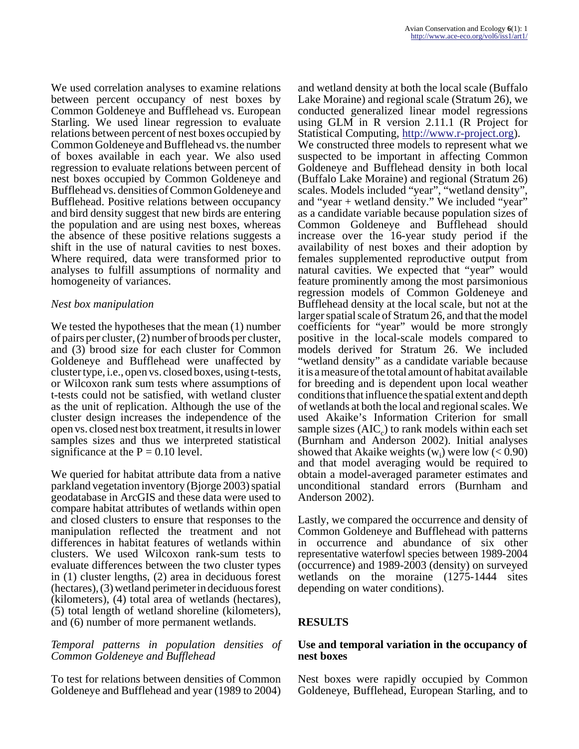We used correlation analyses to examine relations between percent occupancy of nest boxes by Common Goldeneye and Bufflehead vs. European Starling. We used linear regression to evaluate relations between percent of nest boxes occupied by Common Goldeneye and Bufflehead vs. the number of boxes available in each year. We also used regression to evaluate relations between percent of nest boxes occupied by Common Goldeneye and Bufflehead vs. densities of Common Goldeneye and Bufflehead. Positive relations between occupancy and bird density suggest that new birds are entering the population and are using nest boxes, whereas the absence of these positive relations suggests a shift in the use of natural cavities to nest boxes. Where required, data were transformed prior to analyses to fulfill assumptions of normality and homogeneity of variances.

#### *Nest box manipulation*

We tested the hypotheses that the mean (1) number of pairs per cluster, (2) number of broods per cluster, and (3) brood size for each cluster for Common Goldeneye and Bufflehead were unaffected by cluster type, i.e., open vs. closed boxes, using t-tests, or Wilcoxon rank sum tests where assumptions of t-tests could not be satisfied, with wetland cluster as the unit of replication. Although the use of the cluster design increases the independence of the open vs. closed nest box treatment, it results in lower samples sizes and thus we interpreted statistical significance at the  $P = 0.10$  level.

We queried for habitat attribute data from a native parkland vegetation inventory (Bjorge 2003) spatial geodatabase in ArcGIS and these data were used to compare habitat attributes of wetlands within open and closed clusters to ensure that responses to the manipulation reflected the treatment and not differences in habitat features of wetlands within clusters. We used Wilcoxon rank-sum tests to evaluate differences between the two cluster types in (1) cluster lengths, (2) area in deciduous forest (hectares), (3) wetland perimeter in deciduous forest (kilometers), (4) total area of wetlands (hectares), (5) total length of wetland shoreline (kilometers), and (6) number of more permanent wetlands.

#### *Temporal patterns in population densities of Common Goldeneye and Bufflehead*

To test for relations between densities of Common Goldeneye and Bufflehead and year (1989 to 2004) and wetland density at both the local scale (Buffalo Lake Moraine) and regional scale (Stratum 26), we conducted generalized linear model regressions using GLM in R version 2.11.1 (R Project for Statistical Computing,<http://www.r-project.org>).

We constructed three models to represent what we suspected to be important in affecting Common Goldeneye and Bufflehead density in both local (Buffalo Lake Moraine) and regional (Stratum 26) scales. Models included "year", "wetland density" and "year + wetland density." We included "year" as a candidate variable because population sizes of Common Goldeneye and Bufflehead should increase over the 16-year study period if the availability of nest boxes and their adoption by females supplemented reproductive output from natural cavities. We expected that "year" would feature prominently among the most parsimonious regression models of Common Goldeneye and Bufflehead density at the local scale, but not at the larger spatial scale of Stratum 26, and that the model coefficients for "year" would be more strongly positive in the local-scale models compared to models derived for Stratum 26. We included "wetland density" as a candidate variable because it is a measure of the total amount of habitat available for breeding and is dependent upon local weather conditions that influence the spatial extent and depth of wetlands at both the local and regional scales. We used Akaike's Information Criterion for small sample sizes  $(AIC_c)$  to rank models within each set (Burnham and Anderson 2002). Initial analyses showed that Akaike weights  $(w_i)$  were low  $(< 0.90)$ and that model averaging would be required to obtain a model-averaged parameter estimates and unconditional standard errors (Burnham and Anderson 2002).

Lastly, we compared the occurrence and density of Common Goldeneye and Bufflehead with patterns in occurrence and abundance of six other representative waterfowl species between 1989-2004 (occurrence) and 1989-2003 (density) on surveyed wetlands on the moraine (1275-1444 sites depending on water conditions).

# **RESULTS**

#### **Use and temporal variation in the occupancy of nest boxes**

Nest boxes were rapidly occupied by Common Goldeneye, Bufflehead, European Starling, and to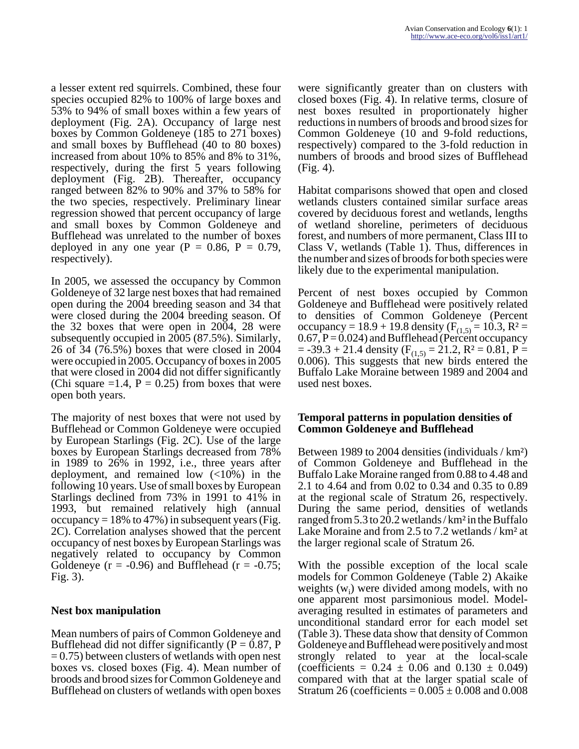a lesser extent red squirrels. Combined, these four species occupied 82% to 100% of large boxes and 53% to 94% of small boxes within a few years of deployment (Fig. 2A). Occupancy of large nest boxes by Common Goldeneye (185 to 271 boxes) and small boxes by Bufflehead (40 to 80 boxes) increased from about 10% to 85% and 8% to 31%, respectively, during the first 5 years following deployment (Fig. 2B). Thereafter, occupancy ranged between 82% to 90% and 37% to 58% for the two species, respectively. Preliminary linear regression showed that percent occupancy of large and small boxes by Common Goldeneye and Bufflehead was unrelated to the number of boxes deployed in any one year ( $P = 0.86$ ,  $P = 0.79$ , respectively).

In 2005, we assessed the occupancy by Common Goldeneye of 32 large nest boxes that had remained open during the 2004 breeding season and 34 that were closed during the 2004 breeding season. Of the 32 boxes that were open in 2004, 28 were subsequently occupied in 2005 (87.5%). Similarly, 26 of 34 (76.5%) boxes that were closed in 2004 were occupied in 2005. Occupancy of boxes in 2005 that were closed in 2004 did not differ significantly (Chi square  $=1.4$ , P  $= 0.25$ ) from boxes that were open both years.

The majority of nest boxes that were not used by Bufflehead or Common Goldeneye were occupied by European Starlings (Fig. 2C). Use of the large boxes by European Starlings decreased from 78% in 1989 to 26% in 1992, i.e., three years after deployment, and remained low (<10%) in the following 10 years. Use of small boxes by European Starlings declined from 73% in 1991 to 41% in 1993, but remained relatively high (annual occupancy =  $18\%$  to 47%) in subsequent years (Fig. 2C). Correlation analyses showed that the percent occupancy of nest boxes by European Starlings was negatively related to occupancy by Common Goldeneye ( $r = -0.96$ ) and Bufflehead ( $r = -0.75$ ; Fig. 3).

# **Nest box manipulation**

Mean numbers of pairs of Common Goldeneye and Bufflehead did not differ significantly ( $P = 0.87$ , P  $= 0.75$ ) between clusters of wetlands with open nest boxes vs. closed boxes (Fig. 4). Mean number of broods and brood sizes for Common Goldeneye and Bufflehead on clusters of wetlands with open boxes

were significantly greater than on clusters with closed boxes (Fig. 4). In relative terms, closure of nest boxes resulted in proportionately higher reductions in numbers of broods and brood sizes for Common Goldeneye (10 and 9-fold reductions, respectively) compared to the 3-fold reduction in numbers of broods and brood sizes of Bufflehead (Fig. 4).

Habitat comparisons showed that open and closed wetlands clusters contained similar surface areas covered by deciduous forest and wetlands, lengths of wetland shoreline, perimeters of deciduous forest, and numbers of more permanent, Class III to Class V, wetlands (Table 1). Thus, differences in the number and sizes of broods for both species were likely due to the experimental manipulation.

Percent of nest boxes occupied by Common Goldeneye and Bufflehead were positively related to densities of Common Goldeneye (Percent occupancy = 18.9 + 19.8 density ( $F_{(1,5)}$  = 10.3, R<sup>2</sup> =  $0.67$ ,  $P = 0.024$ ) and Bufflehead (Percent occupancy  $=$  -39.3 + 21.4 density (F<sub>(1,5)</sub> = 21.2, R<sup>2</sup> = 0.81, P = 0.006). This suggests that new birds entered the Buffalo Lake Moraine between 1989 and 2004 and used nest boxes.

#### **Temporal patterns in population densities of Common Goldeneye and Bufflehead**

Between 1989 to 2004 densities (individuals / km²) of Common Goldeneye and Bufflehead in the Buffalo Lake Moraine ranged from 0.88 to 4.48 and 2.1 to 4.64 and from 0.02 to 0.34 and 0.35 to 0.89 at the regional scale of Stratum 26, respectively. During the same period, densities of wetlands ranged from 5.3 to 20.2 wetlands / km² in the Buffalo Lake Moraine and from 2.5 to 7.2 wetlands / km<sup>2</sup> at the larger regional scale of Stratum 26.

With the possible exception of the local scale models for Common Goldeneye (Table 2) Akaike weights  $(w_i)$  were divided among models, with no one apparent most parsimonious model. Modelaveraging resulted in estimates of parameters and unconditional standard error for each model set (Table 3). These data show that density of Common Goldeneye and Bufflehead were positively and most strongly related to year at the local-scale (coefficients =  $0.24 \pm 0.06$  and  $0.130 \pm 0.049$ ) compared with that at the larger spatial scale of Stratum 26 (coefficients =  $0.005 \pm 0.008$  and 0.008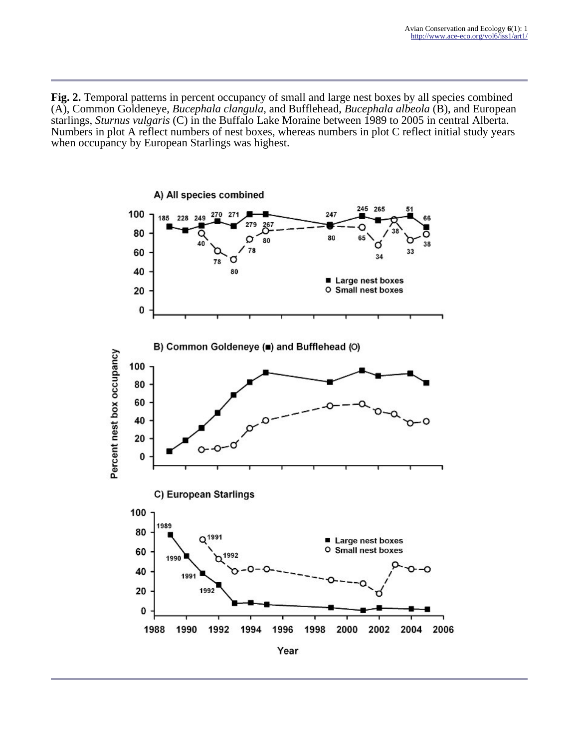**Fig. 2.** Temporal patterns in percent occupancy of small and large nest boxes by all species combined (A), Common Goldeneye, *Bucephala clangula*, and Bufflehead, *Bucephala albeola* (B), and European starlings, *Sturnus vulgaris* (C) in the Buffalo Lake Moraine between 1989 to 2005 in central Alberta. Numbers in plot A reflect numbers of nest boxes, whereas numbers in plot C reflect initial study years when occupancy by European Starlings was highest.

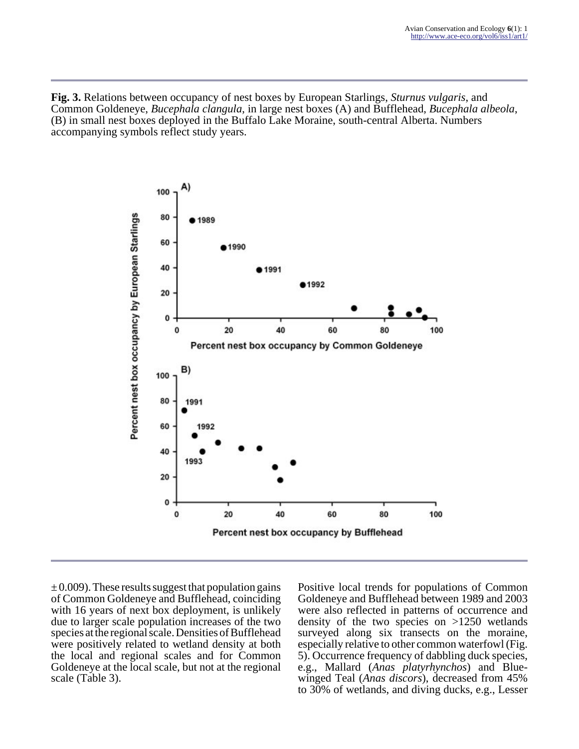**Fig. 3.** Relations between occupancy of nest boxes by European Starlings, *Sturnus vulgaris*, and Common Goldeneye, *Bucephala clangula*, in large nest boxes (A) and Bufflehead, *Bucephala albeola*, (B) in small nest boxes deployed in the Buffalo Lake Moraine, south-central Alberta. Numbers accompanying symbols reflect study years.



 $\pm 0.009$ ). These results suggest that population gains of Common Goldeneye and Bufflehead, coinciding with 16 years of next box deployment, is unlikely due to larger scale population increases of the two species at the regional scale. Densities of Bufflehead were positively related to wetland density at both the local and regional scales and for Common Goldeneye at the local scale, but not at the regional scale (Table 3).

Positive local trends for populations of Common Goldeneye and Bufflehead between 1989 and 2003 were also reflected in patterns of occurrence and density of the two species on >1250 wetlands surveyed along six transects on the moraine, especially relative to other common waterfowl (Fig. 5). Occurrence frequency of dabbling duck species, e.g., Mallard (*Anas platyrhynchos*) and Bluewinged Teal (*Anas discors*), decreased from 45% to 30% of wetlands, and diving ducks, e.g., Lesser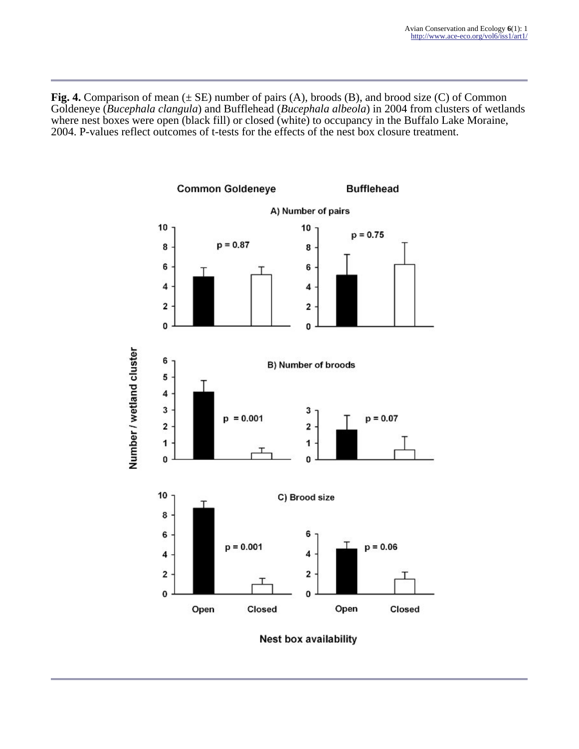**Fig. 4.** Comparison of mean  $(\pm SE)$  number of pairs  $(A)$ , broods  $(B)$ , and brood size  $(C)$  of Common Goldeneye (*Bucephala clangula*) and Bufflehead (*Bucephala albeola*) in 2004 from clusters of wetlands where nest boxes were open (black fill) or closed (white) to occupancy in the Buffalo Lake Moraine, 2004. P-values reflect outcomes of t-tests for the effects of the nest box closure treatment.



**Nest box availability**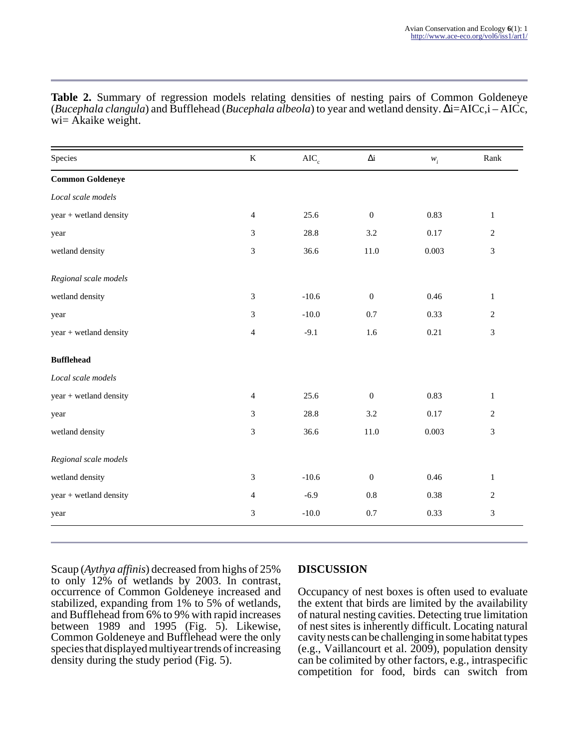| Species                 | $\bf K$                     | $AIC_c$ | $\Delta \text{i}$ | $W_i$ | Rank                        |
|-------------------------|-----------------------------|---------|-------------------|-------|-----------------------------|
| <b>Common Goldeneye</b> |                             |         |                   |       |                             |
| Local scale models      |                             |         |                   |       |                             |
| year + wetland density  | $\overline{4}$              | 25.6    | $\mathbf{0}$      | 0.83  | $\mathbf{1}$                |
| year                    | 3                           | 28.8    | 3.2               | 0.17  | $\boldsymbol{2}$            |
| wetland density         | $\ensuremath{\mathfrak{Z}}$ | 36.6    | 11.0              | 0.003 | 3                           |
| Regional scale models   |                             |         |                   |       |                             |
| wetland density         | 3                           | $-10.6$ | $\boldsymbol{0}$  | 0.46  | $\mathbf{1}$                |
| year                    | 3                           | $-10.0$ | 0.7               | 0.33  | $\overline{2}$              |
| year + wetland density  | 4                           | $-9.1$  | 1.6               | 0.21  | 3                           |
| <b>Bufflehead</b>       |                             |         |                   |       |                             |
| Local scale models      |                             |         |                   |       |                             |
| year + wetland density  | 4                           | 25.6    | $\mathbf{0}$      | 0.83  | $\mathbf{1}$                |
| year                    | 3                           | 28.8    | 3.2               | 0.17  | $\overline{2}$              |
| wetland density         | 3                           | 36.6    | 11.0              | 0.003 | $\mathfrak{Z}$              |
| Regional scale models   |                             |         |                   |       |                             |
| wetland density         | 3                           | $-10.6$ | $\boldsymbol{0}$  | 0.46  | $\mathbf{1}$                |
| year + wetland density  | $\overline{4}$              | $-6.9$  | $0.8\,$           | 0.38  | $\overline{2}$              |
| year                    | $\mathfrak{Z}$              | $-10.0$ | $0.7\,$           | 0.33  | $\ensuremath{\mathfrak{Z}}$ |

**Table 2.** Summary of regression models relating densities of nesting pairs of Common Goldeneye (*Bucephala clangula*) and Bufflehead (*Bucephala albeola*) to year and wetland density. ∆i=AICc,i – AICc, wi= Akaike weight.

Scaup (*Aythya affinis*) decreased from highs of 25% to only 12% of wetlands by 2003. In contrast, occurrence of Common Goldeneye increased and stabilized, expanding from 1% to 5% of wetlands, and Bufflehead from 6% to 9% with rapid increases between 1989 and 1995 (Fig. 5). Likewise, Common Goldeneye and Bufflehead were the only species that displayed multiyear trends of increasing density during the study period (Fig. 5).

# **DISCUSSION**

Occupancy of nest boxes is often used to evaluate the extent that birds are limited by the availability of natural nesting cavities. Detecting true limitation of nest sites is inherently difficult. Locating natural cavity nests can be challenging in some habitat types (e.g., Vaillancourt et al. 2009), population density can be colimited by other factors, e.g., intraspecific competition for food, birds can switch from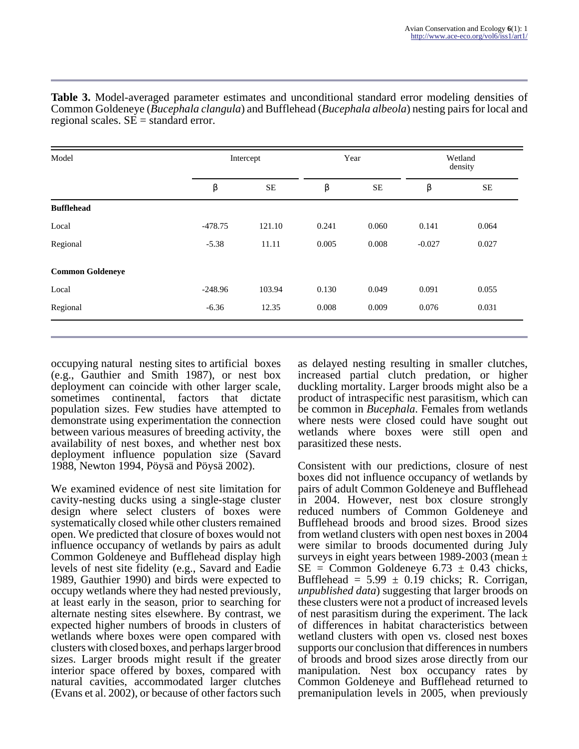| Model                   | Intercept |          | Year  |          | Wetland<br>density |       |
|-------------------------|-----------|----------|-------|----------|--------------------|-------|
|                         | β         | $\rm SE$ | β     | $\rm SE$ | β                  | SE    |
| <b>Bufflehead</b>       |           |          |       |          |                    |       |
| Local                   | $-478.75$ | 121.10   | 0.241 | 0.060    | 0.141              | 0.064 |
| Regional                | $-5.38$   | 11.11    | 0.005 | 0.008    | $-0.027$           | 0.027 |
| <b>Common Goldeneye</b> |           |          |       |          |                    |       |
| Local                   | $-248.96$ | 103.94   | 0.130 | 0.049    | 0.091              | 0.055 |
| Regional                | $-6.36$   | 12.35    | 0.008 | 0.009    | 0.076              | 0.031 |

**Table 3.** Model-averaged parameter estimates and unconditional standard error modeling densities of Common Goldeneye (*Bucephala clangula*) and Bufflehead (*Bucephala albeola*) nesting pairs for local and regional scales.  $SE =$  standard error.

occupying natural nesting sites to artificial boxes (e.g., Gauthier and Smith 1987), or nest box deployment can coincide with other larger scale, sometimes continental, factors that dictate population sizes. Few studies have attempted to demonstrate using experimentation the connection between various measures of breeding activity, the availability of nest boxes, and whether nest box deployment influence population size (Savard 1988, Newton 1994, Pöysä and Pöysä 2002).

We examined evidence of nest site limitation for cavity-nesting ducks using a single-stage cluster design where select clusters of boxes were systematically closed while other clusters remained open. We predicted that closure of boxes would not influence occupancy of wetlands by pairs as adult Common Goldeneye and Bufflehead display high levels of nest site fidelity (e.g., Savard and Eadie 1989, Gauthier 1990) and birds were expected to occupy wetlands where they had nested previously, at least early in the season, prior to searching for alternate nesting sites elsewhere. By contrast, we expected higher numbers of broods in clusters of wetlands where boxes were open compared with clusters with closed boxes, and perhaps larger brood sizes. Larger broods might result if the greater interior space offered by boxes, compared with natural cavities, accommodated larger clutches (Evans et al. 2002), or because of other factors such

as delayed nesting resulting in smaller clutches, increased partial clutch predation, or higher duckling mortality. Larger broods might also be a product of intraspecific nest parasitism, which can be common in *Bucephala*. Females from wetlands where nests were closed could have sought out wetlands where boxes were still open and parasitized these nests.

Consistent with our predictions, closure of nest boxes did not influence occupancy of wetlands by pairs of adult Common Goldeneye and Bufflehead in 2004. However, nest box closure strongly reduced numbers of Common Goldeneye and Bufflehead broods and brood sizes. Brood sizes from wetland clusters with open nest boxes in 2004 were similar to broods documented during July surveys in eight years between 1989-2003 (mean  $\pm$  $SE =$  Common Goldeneye 6.73  $\pm$  0.43 chicks, Bufflehead =  $5.99 \pm 0.19$  chicks; R. Corrigan, *unpublished data*) suggesting that larger broods on these clusters were not a product of increased levels of nest parasitism during the experiment. The lack of differences in habitat characteristics between wetland clusters with open vs. closed nest boxes supports our conclusion that differences in numbers of broods and brood sizes arose directly from our manipulation. Nest box occupancy rates by Common Goldeneye and Bufflehead returned to premanipulation levels in 2005, when previously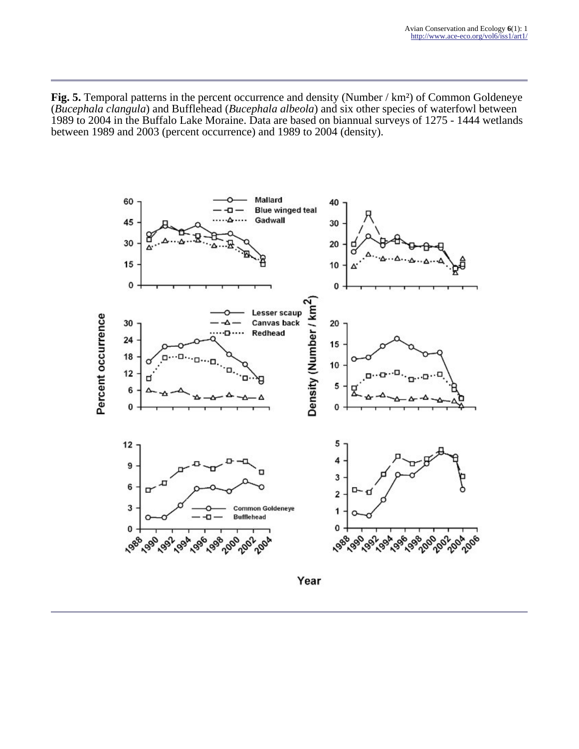**Fig. 5.** Temporal patterns in the percent occurrence and density (Number / km²) of Common Goldeneye (*Bucephala clangula*) and Bufflehead (*Bucephala albeola*) and six other species of waterfowl between 1989 to 2004 in the Buffalo Lake Moraine. Data are based on biannual surveys of 1275 - 1444 wetlands between 1989 and 2003 (percent occurrence) and 1989 to 2004 (density).

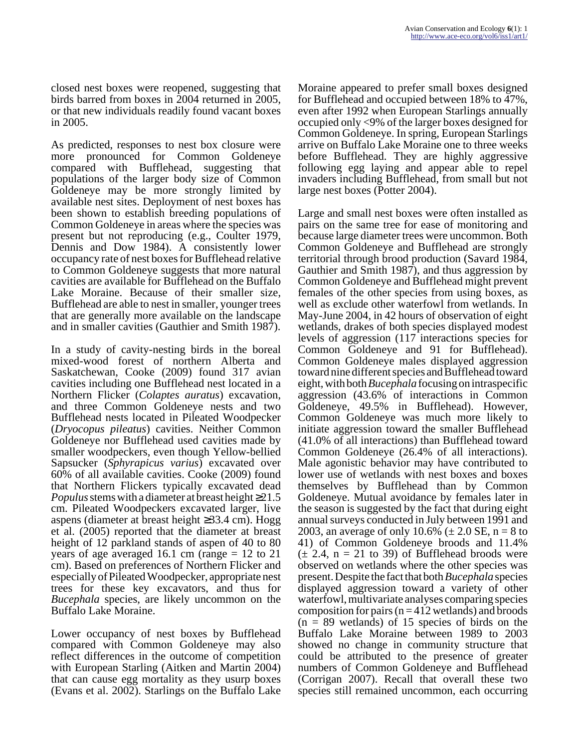closed nest boxes were reopened, suggesting that birds barred from boxes in 2004 returned in 2005, or that new individuals readily found vacant boxes in 2005.

As predicted, responses to nest box closure were more pronounced for Common Goldeneye compared with Bufflehead, suggesting that populations of the larger body size of Common Goldeneye may be more strongly limited by available nest sites. Deployment of nest boxes has been shown to establish breeding populations of Common Goldeneye in areas where the species was present but not reproducing (e.g., Coulter 1979, Dennis and Dow 1984). A consistently lower occupancy rate of nest boxes for Bufflehead relative to Common Goldeneye suggests that more natural cavities are available for Bufflehead on the Buffalo Lake Moraine. Because of their smaller size, Bufflehead are able to nest in smaller, younger trees that are generally more available on the landscape and in smaller cavities (Gauthier and Smith 1987).

In a study of cavity-nesting birds in the boreal mixed-wood forest of northern Alberta and Saskatchewan, Cooke (2009) found 317 avian cavities including one Bufflehead nest located in a Northern Flicker (*Colaptes auratus*) excavation, and three Common Goldeneye nests and two Bufflehead nests located in Pileated Woodpecker (*Dryocopus pileatus*) cavities. Neither Common Goldeneye nor Bufflehead used cavities made by smaller woodpeckers, even though Yellow-bellied Sapsucker (*Sphyrapicus varius*) excavated over 60% of all available cavities. Cooke (2009) found that Northern Flickers typically excavated dead *Populus* stems with a diameter at breast height ≥21.5 cm. Pileated Woodpeckers excavated larger, live aspens (diameter at breast height ≥33.4 cm). Hogg et al. (2005) reported that the diameter at breast height of 12 parkland stands of aspen of 40 to 80 years of age averaged 16.1 cm (range  $= 12$  to 21 cm). Based on preferences of Northern Flicker and especially of Pileated Woodpecker, appropriate nest trees for these key excavators, and thus for *Bucephala* species, are likely uncommon on the Buffalo Lake Moraine.

Lower occupancy of nest boxes by Bufflehead compared with Common Goldeneye may also reflect differences in the outcome of competition with European Starling (Aitken and Martin 2004) that can cause egg mortality as they usurp boxes (Evans et al. 2002). Starlings on the Buffalo Lake Moraine appeared to prefer small boxes designed for Bufflehead and occupied between 18% to 47%, even after 1992 when European Starlings annually occupied only <9% of the larger boxes designed for Common Goldeneye. In spring, European Starlings arrive on Buffalo Lake Moraine one to three weeks before Bufflehead. They are highly aggressive following egg laying and appear able to repel invaders including Bufflehead, from small but not large nest boxes (Potter 2004).

Large and small nest boxes were often installed as pairs on the same tree for ease of monitoring and because large diameter trees were uncommon. Both Common Goldeneye and Bufflehead are strongly territorial through brood production (Savard 1984, Gauthier and Smith 1987), and thus aggression by Common Goldeneye and Bufflehead might prevent females of the other species from using boxes, as well as exclude other waterfowl from wetlands. In May-June 2004, in 42 hours of observation of eight wetlands, drakes of both species displayed modest levels of aggression (117 interactions species for Common Goldeneye and 91 for Bufflehead). Common Goldeneye males displayed aggression toward nine different species and Bufflehead toward eight, with both *Bucephala* focusing on intraspecific aggression (43.6% of interactions in Common Goldeneye, 49.5% in Bufflehead). However, Common Goldeneye was much more likely to initiate aggression toward the smaller Bufflehead (41.0% of all interactions) than Bufflehead toward Common Goldeneye (26.4% of all interactions). Male agonistic behavior may have contributed to lower use of wetlands with nest boxes and boxes themselves by Bufflehead than by Common Goldeneye. Mutual avoidance by females later in the season is suggested by the fact that during eight annual surveys conducted in July between 1991 and 2003, an average of only 10.6% ( $\pm$  2.0 SE, n = 8 to 41) of Common Goldeneye broods and 11.4%  $(\pm 2.4, n = 21$  to 39) of Bufflehead broods were observed on wetlands where the other species was present. Despite the fact that both *Bucephala* species displayed aggression toward a variety of other waterfowl, multivariate analyses comparing species composition for pairs ( $n = 412$  wetlands) and broods  $(n = 89$  wetlands) of 15 species of birds on the Buffalo Lake Moraine between 1989 to 2003 showed no change in community structure that could be attributed to the presence of greater numbers of Common Goldeneye and Bufflehead (Corrigan 2007). Recall that overall these two species still remained uncommon, each occurring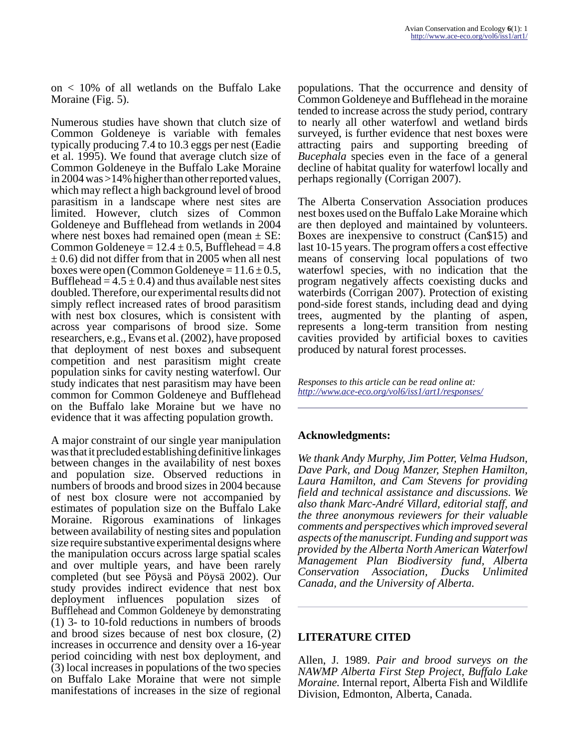on < 10% of all wetlands on the Buffalo Lake Moraine (Fig. 5).

Numerous studies have shown that clutch size of Common Goldeneye is variable with females typically producing 7.4 to 10.3 eggs per nest (Eadie et al. 1995). We found that average clutch size of Common Goldeneye in the Buffalo Lake Moraine in 2004 was >14% higher than other reported values, which may reflect a high background level of brood parasitism in a landscape where nest sites are limited. However, clutch sizes of Common Goldeneye and Bufflehead from wetlands in 2004 where nest boxes had remained open (mean  $\pm$  SE: Common Goldeneye =  $12.4 \pm 0.5$ , Bufflehead = 4.8  $\pm$  0.6) did not differ from that in 2005 when all nest boxes were open (Common Goldeneye =  $11.6 \pm 0.5$ , Bufflehead  $= 4.5 \pm 0.4$  and thus available nest sites doubled. Therefore, our experimental results did not simply reflect increased rates of brood parasitism with nest box closures, which is consistent with across year comparisons of brood size. Some researchers, e.g., Evans et al. (2002), have proposed that deployment of nest boxes and subsequent competition and nest parasitism might create population sinks for cavity nesting waterfowl. Our study indicates that nest parasitism may have been common for Common Goldeneye and Bufflehead on the Buffalo lake Moraine but we have no evidence that it was affecting population growth.

A major constraint of our single year manipulation was that it precluded establishing definitive linkages between changes in the availability of nest boxes and population size. Observed reductions in numbers of broods and brood sizes in 2004 because of nest box closure were not accompanied by estimates of population size on the Buffalo Lake Moraine. Rigorous examinations of linkages between availability of nesting sites and population size require substantive experimental designs where the manipulation occurs across large spatial scales and over multiple years, and have been rarely completed (but see Pöysä and Pöysä 2002). Our study provides indirect evidence that nest box deployment influences population sizes of Bufflehead and Common Goldeneye by demonstrating (1) 3- to 10-fold reductions in numbers of broods and brood sizes because of nest box closure, (2) increases in occurrence and density over a 16-year period coinciding with nest box deployment, and (3) local increases in populations of the two species on Buffalo Lake Moraine that were not simple manifestations of increases in the size of regional

populations. That the occurrence and density of Common Goldeneye and Bufflehead in the moraine tended to increase across the study period, contrary to nearly all other waterfowl and wetland birds surveyed, is further evidence that nest boxes were attracting pairs and supporting breeding of *Bucephala* species even in the face of a general decline of habitat quality for waterfowl locally and perhaps regionally (Corrigan 2007).

The Alberta Conservation Association produces nest boxes used on the Buffalo Lake Moraine which are then deployed and maintained by volunteers. Boxes are inexpensive to construct (Can\$15) and last 10-15 years. The program offers a cost effective means of conserving local populations of two waterfowl species, with no indication that the program negatively affects coexisting ducks and waterbirds (Corrigan 2007). Protection of existing pond-side forest stands, including dead and dying trees, augmented by the planting of aspen, represents a long-term transition from nesting cavities provided by artificial boxes to cavities produced by natural forest processes.

*Responses to this article can be read online at: <http://www.ace-eco.org/vol6/iss1/art1/responses/>*

#### **Acknowledgments:**

*We thank Andy Murphy, Jim Potter, Velma Hudson, Dave Park, and Doug Manzer, Stephen Hamilton, Laura Hamilton, and Cam Stevens for providing field and technical assistance and discussions. We also thank Marc-André Villard, editorial staff, and the three anonymous reviewers for their valuable comments and perspectives which improved several aspects of the manuscript. Funding and support was provided by the Alberta North American Waterfowl Management Plan Biodiversity fund, Alberta Conservation Association, Ducks Unlimited Canada, and the University of Alberta.* 

#### **LITERATURE CITED**

Allen, J. 1989. *Pair and brood surveys on the NAWMP Alberta First Step Project, Buffalo Lake Moraine.* Internal report, Alberta Fish and Wildlife Division, Edmonton, Alberta, Canada.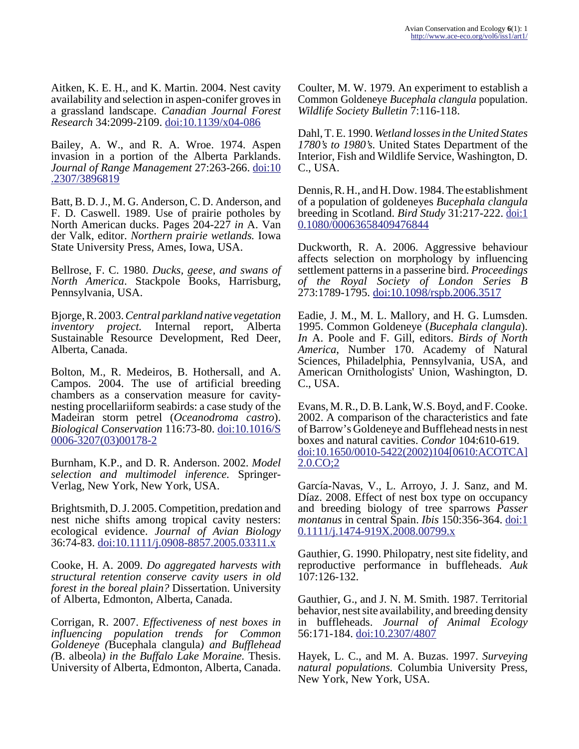Aitken, K. E. H., and K. Martin. 2004. Nest cavity availability and selection in aspen-conifer groves in a grassland landscape. *Canadian Journal Forest Research* 34:2099-2109. [doi:10.1139/x04-086](http://dx.doi.org/10.1139/x04-086)

Bailey, A. W., and R. A. Wroe. 1974. Aspen invasion in a portion of the Alberta Parklands. *Journal of Range Management* 27:263-266. [doi:10](http://dx.doi.org/10.2307/3896819) [.2307/3896819](http://dx.doi.org/10.2307/3896819)

Batt, B. D. J., M. G. Anderson, C. D. Anderson, and F. D. Caswell. 1989. Use of prairie potholes by North American ducks. Pages 204-227 *in* A. Van der Valk, editor. *Northern prairie wetlands.* Iowa State University Press, Ames, Iowa, USA.

Bellrose, F. C. 1980. *Ducks, geese, and swans of North America*. Stackpole Books, Harrisburg, Pennsylvania, USA.

Bjorge, R. 2003. *Central parkland native vegetation inventory project.* Internal report, Alberta Sustainable Resource Development, Red Deer, Alberta, Canada.

Bolton, M., R. Medeiros, B. Hothersall, and A. Campos. 2004. The use of artificial breeding chambers as a conservation measure for cavitynesting procellariiform seabirds: a case study of the Madeiran storm petrel (*Oceanodroma castro*). *Biological Conservation* 116:73-80. [doi:10.1016/S](http://dx.doi.org/10.1016/S0006-3207(03)00178-2) [0006-3207\(03\)00178-2](http://dx.doi.org/10.1016/S0006-3207(03)00178-2)

Burnham, K.P., and D. R. Anderson. 2002. *Model selection and multimodel inference.* Springer-Verlag, New York, New York, USA.

Brightsmith, D. J. 2005. Competition, predation and nest niche shifts among tropical cavity nesters: ecological evidence. *Journal of Avian Biology* 36:74-83. [doi:10.1111/j.0908-8857.2005.03311.x](http://dx.doi.org/10.1111/j.0908-8857.2005.03311.x)

Cooke, H. A. 2009. *Do aggregated harvests with structural retention conserve cavity users in old forest in the boreal plain?* Dissertation. University of Alberta, Edmonton, Alberta, Canada.

Corrigan, R. 2007. *Effectiveness of nest boxes in influencing population trends for Common Goldeneye (*Bucephala clangula*) and Bufflehead (*B. albeola*) in the Buffalo Lake Moraine.* Thesis. University of Alberta, Edmonton, Alberta, Canada.

Coulter, M. W. 1979. An experiment to establish a Common Goldeneye *Bucephala clangula* population. *Wildlife Society Bulletin* 7:116-118.

Dahl, T. E. 1990. *Wetland losses in the United States 1780's to 1980's.* United States Department of the Interior, Fish and Wildlife Service, Washington, D. C., USA.

Dennis, R. H., and H. Dow. 1984. The establishment of a population of goldeneyes *Bucephala clangula* breeding in Scotland. *Bird Study* 31:217-222. [doi:1](http://dx.doi.org/10.1080/00063658409476844) [0.1080/00063658409476844](http://dx.doi.org/10.1080/00063658409476844)

Duckworth, R. A. 2006. Aggressive behaviour affects selection on morphology by influencing settlement patterns in a passerine bird. *Proceedings of the Royal Society of London Series B* 273:1789-1795. [doi:10.1098/rspb.2006.3517](http://dx.doi.org/10.1098/rspb.2006.3517)

Eadie, J. M., M. L. Mallory, and H. G. Lumsden. 1995. Common Goldeneye (*Bucephala clangula*). *In* A. Poole and F. Gill, editors. *Birds of North America*, Number 170. Academy of Natural Sciences, Philadelphia, Pennsylvania, USA, and American Ornithologists' Union, Washington, D. C., USA.

Evans, M. R., D. B. Lank, W.S. Boyd, and F. Cooke. 2002. A comparison of the characteristics and fate of Barrow's Goldeneye and Bufflehead nests in nest boxes and natural cavities. *Condor* 104:610-619. [doi:10.1650/0010-5422\(2002\)104\[0610:ACOTCA\]](http://dx.doi.org/10.1650/0010-5422(2002)104[0610:ACOTCA]2.0.CO;2) [2.0.CO;2](http://dx.doi.org/10.1650/0010-5422(2002)104[0610:ACOTCA]2.0.CO;2)

García-Navas, V., L. Arroyo, J. J. Sanz, and M. Díaz. 2008. Effect of nest box type on occupancy and breeding biology of tree sparrows *Passer montanus* in central Spain. *Ibis* 150:356-364. [doi:1](http://dx.doi.org/10.1111/j.1474-919X.2008.00799.x) [0.1111/j.1474-919X.2008.00799.x](http://dx.doi.org/10.1111/j.1474-919X.2008.00799.x)

Gauthier, G. 1990. Philopatry, nest site fidelity, and reproductive performance in buffleheads. *Auk* 107:126-132.

Gauthier, G., and J. N. M. Smith. 1987. Territorial behavior, nest site availability, and breeding density in buffleheads. *Journal of Animal Ecology* 56:171-184. [doi:10.2307/4807](http://dx.doi.org/10.2307/4807)

Hayek, L. C., and M. A. Buzas. 1997. *Surveying natural populations.* Columbia University Press, New York, New York, USA.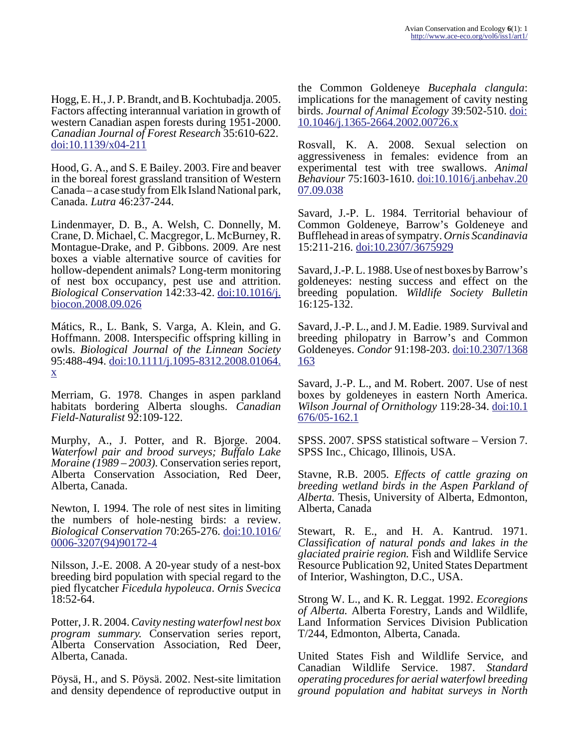Hogg, E. H., J. P. Brandt, and B. Kochtubadja. 2005. Factors affecting interannual variation in growth of western Canadian aspen forests during 1951-2000. *Canadian Journal of Forest Research* 35:610-622. [doi:10.1139/x04-211](http://dx.doi.org/10.1139/x04-211)

Hood, G. A., and S. E Bailey. 2003. Fire and beaver in the boreal forest grassland transition of Western Canada – a case study from Elk Island National park, Canada. *Lutra* 46:237-244.

Lindenmayer, D. B., A. Welsh, C. Donnelly, M. Crane, D. Michael, C. Macgregor, L. McBurney, R. Montague-Drake, and P. Gibbons. 2009. Are nest boxes a viable alternative source of cavities for hollow-dependent animals? Long-term monitoring of nest box occupancy, pest use and attrition. *Biological Conservation* 142:33-42. [doi:10.1016/j.](http://dx.doi.org/10.1016/j.biocon.2008.09.026) [biocon.2008.09.026](http://dx.doi.org/10.1016/j.biocon.2008.09.026)

Mátics, R., L. Bank, S. Varga, A. Klein, and G. Hoffmann. 2008. Interspecific offspring killing in owls. *Biological Journal of the Linnean Society* 95:488-494. [doi:10.1111/j.1095-8312.2008.01064.](http://dx.doi.org/10.1111/j.1095-8312.2008.01064.x) [x](http://dx.doi.org/10.1111/j.1095-8312.2008.01064.x)

Merriam, G. 1978. Changes in aspen parkland habitats bordering Alberta sloughs. *Canadian Field-Naturalist* 92:109-122.

Murphy, A., J. Potter, and R. Bjorge. 2004. *Waterfowl pair and brood surveys; Buffalo Lake Moraine (1989 – 2003).* Conservation series report, Alberta Conservation Association, Red Deer, Alberta, Canada.

Newton, I. 1994. The role of nest sites in limiting the numbers of hole-nesting birds: a review. *Biological Conservation* 70:265-276. [doi:10.1016/](http://dx.doi.org/10.1016/0006-3207(94)90172-4) [0006-3207\(94\)90172-4](http://dx.doi.org/10.1016/0006-3207(94)90172-4)

Nilsson, J.-E. 2008. A 20-year study of a nest-box breeding bird population with special regard to the pied flycatcher *Ficedula hypoleuca*. *Ornis Svecica* 18:52-64.

Potter, J. R. 2004. *Cavity nesting waterfowl nest box program summary.* Conservation series report, Alberta Conservation Association, Red Deer, Alberta, Canada.

Pöysä, H., and S. Pöysä. 2002. Nest-site limitation and density dependence of reproductive output in

the Common Goldeneye *Bucephala clangula*: implications for the management of cavity nesting birds. *Journal of Animal Ecology* 39:502-510. [doi:](http://dx.doi.org/10.1046/j.1365-2664.2002.00726.x) [10.1046/j.1365-2664.2002.00726.x](http://dx.doi.org/10.1046/j.1365-2664.2002.00726.x)

Rosvall, K. A. 2008. Sexual selection on aggressiveness in females: evidence from an experimental test with tree swallows. *Animal Behaviour* 75:1603-1610. [doi:10.1016/j.anbehav.20](http://dx.doi.org/10.1016/j.anbehav.2007.09.038) [07.09.038](http://dx.doi.org/10.1016/j.anbehav.2007.09.038)

Savard, J.-P. L. 1984. Territorial behaviour of Common Goldeneye, Barrow's Goldeneye and Bufflehead in areas of sympatry. *Ornis Scandinavia* 15:211-216. [doi:10.2307/3675929](http://dx.doi.org/10.2307/3675929)

Savard, J.-P. L. 1988. Use of nest boxes by Barrow's goldeneyes: nesting success and effect on the breeding population. *Wildlife Society Bulletin* 16:125-132.

Savard, J.-P. L., and J. M. Eadie. 1989. Survival and breeding philopatry in Barrow's and Common Goldeneyes. *Condor* 91:198-203. [doi:10.2307/1368](http://dx.doi.org/10.2307/1368163) [163](http://dx.doi.org/10.2307/1368163)

Savard, J.-P. L., and M. Robert. 2007. Use of nest boxes by goldeneyes in eastern North America. *Wilson Journal of Ornithology* 119:28-34. [doi:10.1](http://dx.doi.org/10.1676/05-162.1) [676/05-162.1](http://dx.doi.org/10.1676/05-162.1)

SPSS. 2007. SPSS statistical software – Version 7. SPSS Inc., Chicago, Illinois, USA.

Stavne, R.B. 2005. *Effects of cattle grazing on breeding wetland birds in the Aspen Parkland of Alberta.* Thesis, University of Alberta, Edmonton, Alberta, Canada

Stewart, R. E., and H. A. Kantrud. 1971. *Classification of natural ponds and lakes in the glaciated prairie region.* Fish and Wildlife Service Resource Publication 92, United States Department of Interior, Washington, D.C., USA.

Strong W. L., and K. R. Leggat. 1992. *Ecoregions of Alberta.* Alberta Forestry, Lands and Wildlife, Land Information Services Division Publication T/244, Edmonton, Alberta, Canada.

United States Fish and Wildlife Service, and Canadian Wildlife Service. 1987. *Standard operating procedures for aerial waterfowl breeding ground population and habitat surveys in North*